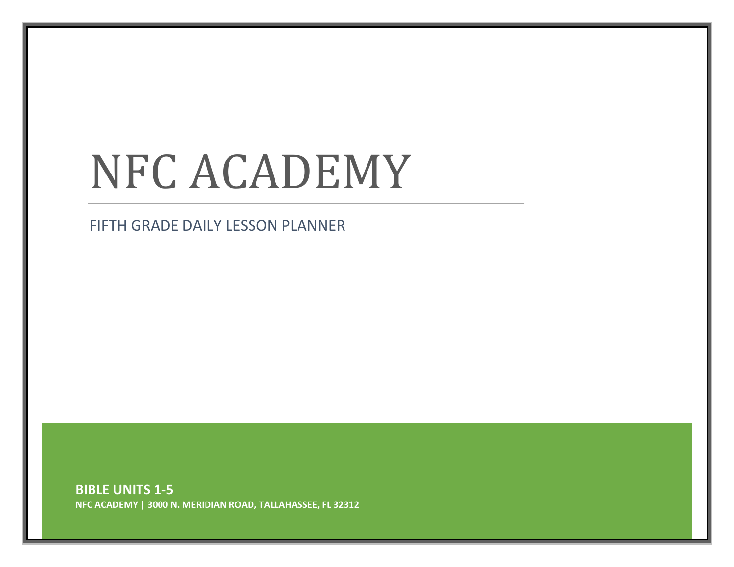# NFC ACADEMY

FIFTH GRADE DAILY LESSON PLANNER

**BIBLE UNITS 1-5 NFC ACADEMY | 3000 N. MERIDIAN ROAD, TALLAHASSEE, FL 32312**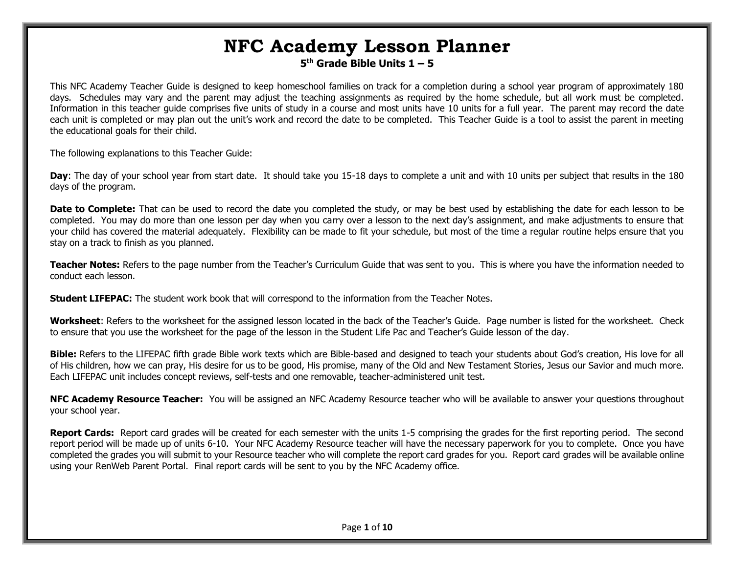# **NFC Academy Lesson Planner 5 th Grade Bible Units 1 – 5**

This NFC Academy Teacher Guide is designed to keep homeschool families on track for a completion during a school year program of approximately 180 days. Schedules may vary and the parent may adjust the teaching assignments as required by the home schedule, but all work must be completed. Information in this teacher guide comprises five units of study in a course and most units have 10 units for a full year. The parent may record the date each unit is completed or may plan out the unit's work and record the date to be completed. This Teacher Guide is a tool to assist the parent in meeting the educational goals for their child.

The following explanations to this Teacher Guide:

**Day**: The day of your school year from start date. It should take you 15-18 days to complete a unit and with 10 units per subject that results in the 180 days of the program.

**Date to Complete:** That can be used to record the date you completed the study, or may be best used by establishing the date for each lesson to be completed. You may do more than one lesson per day when you carry over a lesson to the next day's assignment, and make adjustments to ensure that your child has covered the material adequately. Flexibility can be made to fit your schedule, but most of the time a regular routine helps ensure that you stay on a track to finish as you planned.

**Teacher Notes:** Refers to the page number from the Teacher's Curriculum Guide that was sent to you. This is where you have the information needed to conduct each lesson.

**Student LIFEPAC:** The student work book that will correspond to the information from the Teacher Notes.

**Worksheet**: Refers to the worksheet for the assigned lesson located in the back of the Teacher's Guide. Page number is listed for the worksheet. Check to ensure that you use the worksheet for the page of the lesson in the Student Life Pac and Teacher's Guide lesson of the day.

**Bible:** Refers to the LIFEPAC fifth grade Bible work texts which are Bible-based and designed to teach your students about God's creation, His love for all of His children, how we can pray, His desire for us to be good, His promise, many of the Old and New Testament Stories, Jesus our Savior and much more. Each LIFEPAC unit includes concept reviews, self-tests and one removable, teacher-administered unit test.

**NFC Academy Resource Teacher:** You will be assigned an NFC Academy Resource teacher who will be available to answer your questions throughout your school year.

**Report Cards:** Report card grades will be created for each semester with the units 1-5 comprising the grades for the first reporting period. The second report period will be made up of units 6-10. Your NFC Academy Resource teacher will have the necessary paperwork for you to complete. Once you have completed the grades you will submit to your Resource teacher who will complete the report card grades for you. Report card grades will be available online using your RenWeb Parent Portal. Final report cards will be sent to you by the NFC Academy office.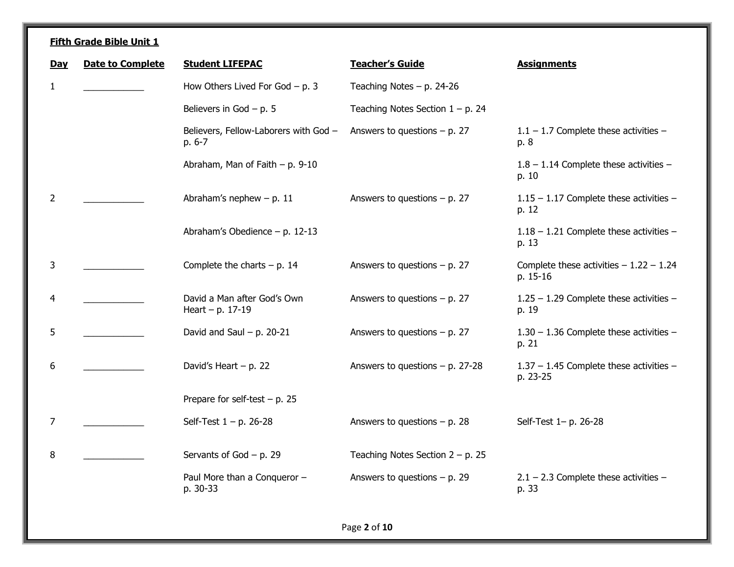| <b>Day</b>   | <b>Date to Complete</b> | <b>Student LIFEPAC</b>                            | <b>Teacher's Guide</b>              | <b>Assignments</b>                                   |
|--------------|-------------------------|---------------------------------------------------|-------------------------------------|------------------------------------------------------|
| $\mathbf{1}$ |                         | How Others Lived For God $- p. 3$                 | Teaching Notes $- p. 24-26$         |                                                      |
|              |                         | Believers in God $- p. 5$                         | Teaching Notes Section $1 - p$ . 24 |                                                      |
|              |                         | Believers, Fellow-Laborers with God -<br>p. 6-7   | Answers to questions $- p$ . 27     | $1.1 - 1.7$ Complete these activities -<br>p. 8      |
|              |                         | Abraham, Man of Faith $- p. 9-10$                 |                                     | $1.8 - 1.14$ Complete these activities -<br>p. 10    |
| 2            |                         | Abraham's nephew $- p. 11$                        | Answers to questions $- p$ . 27     | $1.15 - 1.17$ Complete these activities -<br>p. 12   |
|              |                         | Abraham's Obedience - p. 12-13                    |                                     | 1.18 - 1.21 Complete these activities -<br>p. 13     |
| 3            |                         | Complete the charts $- p. 14$                     | Answers to questions $- p$ . 27     | Complete these activities $-1.22 - 1.24$<br>p. 15-16 |
| 4            |                         | David a Man after God's Own<br>Heart - p. $17-19$ | Answers to questions $- p$ . 27     | 1.25 - 1.29 Complete these activities -<br>p. 19     |
| 5            |                         | David and Saul $- p$ . 20-21                      | Answers to questions $- p. 27$      | 1.30 - 1.36 Complete these activities -<br>p. 21     |
| 6            |                         | David's Heart $- p. 22$                           | Answers to questions $- p$ . 27-28  | 1.37 - 1.45 Complete these activities -<br>p. 23-25  |
|              |                         | Prepare for self-test $- p$ . 25                  |                                     |                                                      |
| 7            |                         | Self-Test $1 - p$ . 26-28                         | Answers to questions $- p$ . 28     | Self-Test 1- p. 26-28                                |
| 8            |                         | Servants of God $- p. 29$                         | Teaching Notes Section $2 - p$ . 25 |                                                      |
|              |                         | Paul More than a Conqueror -<br>p. 30-33          | Answers to questions $- p$ . 29     | $2.1 - 2.3$ Complete these activities -<br>p. 33     |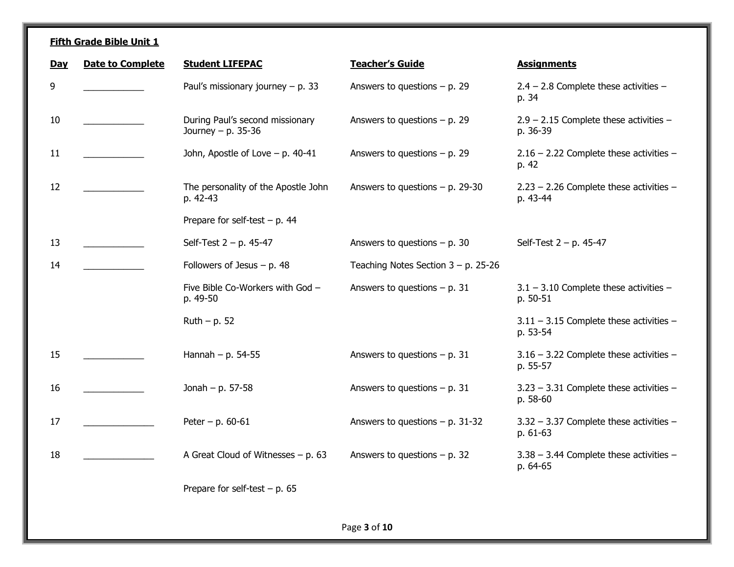| Day | <b>Date to Complete</b> | <b>Student LIFEPAC</b>                                | <b>Teacher's Guide</b>                 | <b>Assignments</b>                                      |
|-----|-------------------------|-------------------------------------------------------|----------------------------------------|---------------------------------------------------------|
| 9   |                         | Paul's missionary journey $- p$ . 33                  | Answers to questions $- p$ . 29        | $2.4 - 2.8$ Complete these activities -<br>p. 34        |
| 10  |                         | During Paul's second missionary<br>Journey - p. 35-36 | Answers to questions $- p$ . 29        | $2.9 - 2.15$ Complete these activities -<br>p. 36-39    |
| 11  |                         | John, Apostle of Love $-$ p. 40-41                    | Answers to questions $- p$ . 29        | $2.16 - 2.22$ Complete these activities -<br>p. 42      |
| 12  |                         | The personality of the Apostle John<br>p. 42-43       | Answers to questions $- p$ . 29-30     | $2.23 - 2.26$ Complete these activities -<br>p. 43-44   |
|     |                         | Prepare for self-test $- p$ . 44                      |                                        |                                                         |
| 13  |                         | Self-Test $2 - p$ . 45-47                             | Answers to questions $- p$ . 30        | Self-Test $2 - p$ . 45-47                               |
| 14  |                         | Followers of Jesus $- p. 48$                          | Teaching Notes Section $3 - p$ . 25-26 |                                                         |
|     |                         | Five Bible Co-Workers with God -<br>p. 49-50          | Answers to questions $- p. 31$         | $3.1 - 3.10$ Complete these activities -<br>p. 50-51    |
|     |                         | $Ruth - p. 52$                                        |                                        | $3.11 - 3.15$ Complete these activities -<br>p. 53-54   |
| 15  |                         | Hannah $- p. 54-55$                                   | Answers to questions $- p$ . 31        | $3.16 - 3.22$ Complete these activities -<br>p. 55-57   |
| 16  |                         | Jonah - p. $57-58$                                    | Answers to questions $- p$ . 31        | $3.23 - 3.31$ Complete these activities $-$<br>p. 58-60 |
| 17  |                         | Peter – p. $60 - 61$                                  | Answers to questions $- p$ . 31-32     | $3.32 - 3.37$ Complete these activities -<br>p. 61-63   |
| 18  |                         | A Great Cloud of Witnesses $- p. 63$                  | Answers to questions $- p$ . 32        | $3.38 - 3.44$ Complete these activities $-$<br>p. 64-65 |
|     |                         | Prepare for self-test $- p$ . 65                      |                                        |                                                         |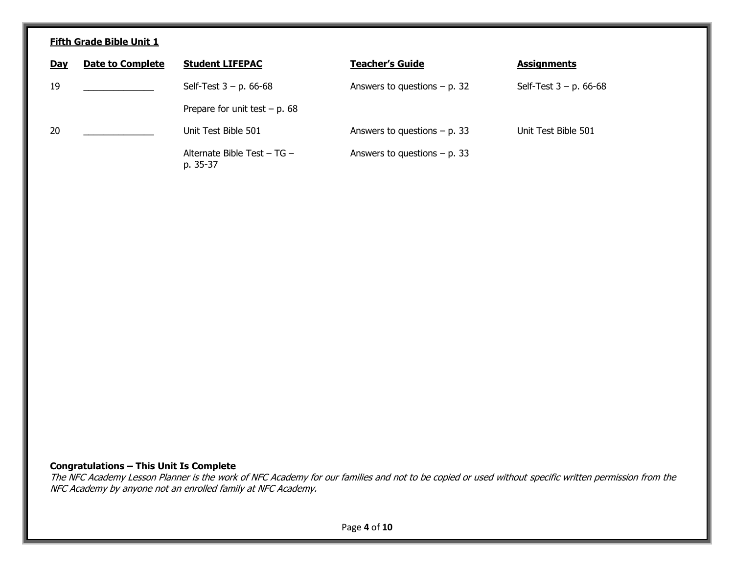| <b>Day</b> | <b>Date to Complete</b> | <b>Student LIFEPAC</b>                  | <b>Teacher's Guide</b>          | <b>Assignments</b>        |
|------------|-------------------------|-----------------------------------------|---------------------------------|---------------------------|
| 19         |                         | Self-Test $3 - p$ . 66-68               | Answers to questions $- p$ . 32 | Self-Test $3 - p$ . 66-68 |
|            |                         | Prepare for unit test $- p. 68$         |                                 |                           |
| 20         |                         | Unit Test Bible 501                     | Answers to questions $- p$ . 33 | Unit Test Bible 501       |
|            |                         | Alternate Bible Test - TG -<br>p. 35-37 | Answers to questions $- p$ . 33 |                           |

### **Congratulations – This Unit Is Complete**

The NFC Academy Lesson Planner is the work of NFC Academy for our families and not to be copied or used without specific written permission from the NFC Academy by anyone not an enrolled family at NFC Academy.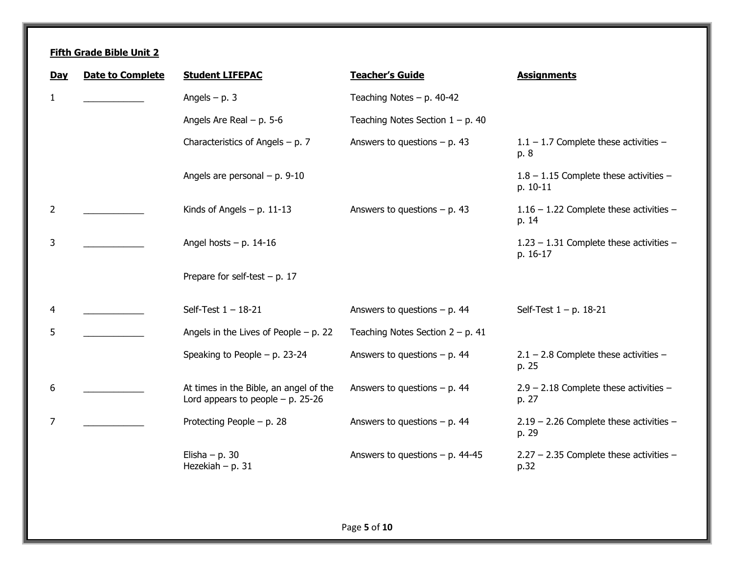| <b>Day</b> | <b>Date to Complete</b> | <b>Student LIFEPAC</b>                                                         | <b>Teacher's Guide</b>              | <b>Assignments</b>                                    |
|------------|-------------------------|--------------------------------------------------------------------------------|-------------------------------------|-------------------------------------------------------|
| 1          |                         | Angels $- p. 3$                                                                | Teaching Notes $- p. 40-42$         |                                                       |
|            |                         | Angels Are Real $- p. 5-6$                                                     | Teaching Notes Section $1 - p$ . 40 |                                                       |
|            |                         | Characteristics of Angels $- p. 7$                                             | Answers to questions $- p. 43$      | $1.1 - 1.7$ Complete these activities -<br>p. 8       |
|            |                         | Angels are personal $- p. 9-10$                                                |                                     | $1.8 - 1.15$ Complete these activities -<br>p. 10-11  |
| 2          |                         | Kinds of Angels $- p. 11-13$                                                   | Answers to questions $- p. 43$      | $1.16 - 1.22$ Complete these activities -<br>p. 14    |
| 3          |                         | Angel hosts $- p. 14-16$                                                       |                                     | $1.23 - 1.31$ Complete these activities -<br>p. 16-17 |
|            |                         | Prepare for self-test $- p$ . 17                                               |                                     |                                                       |
| 4          |                         | Self-Test $1 - 18 - 21$                                                        | Answers to questions $- p$ . 44     | Self-Test $1 - p$ . 18-21                             |
| 5          |                         | Angels in the Lives of People $- p$ . 22                                       | Teaching Notes Section $2 - p$ . 41 |                                                       |
|            |                         | Speaking to People $-$ p. 23-24                                                | Answers to questions $- p$ . 44     | $2.1 - 2.8$ Complete these activities -<br>p. 25      |
| 6          |                         | At times in the Bible, an angel of the<br>Lord appears to people $- p$ . 25-26 | Answers to questions $- p. 44$      | $2.9 - 2.18$ Complete these activities -<br>p. 27     |
| 7          |                         | Protecting People - p. 28                                                      | Answers to questions $- p. 44$      | $2.19 - 2.26$ Complete these activities -<br>p. 29    |
|            |                         | Elisha $- p. 30$<br>Hezekiah $- p. 31$                                         | Answers to questions $- p$ . 44-45  | $2.27 - 2.35$ Complete these activities -<br>p.32     |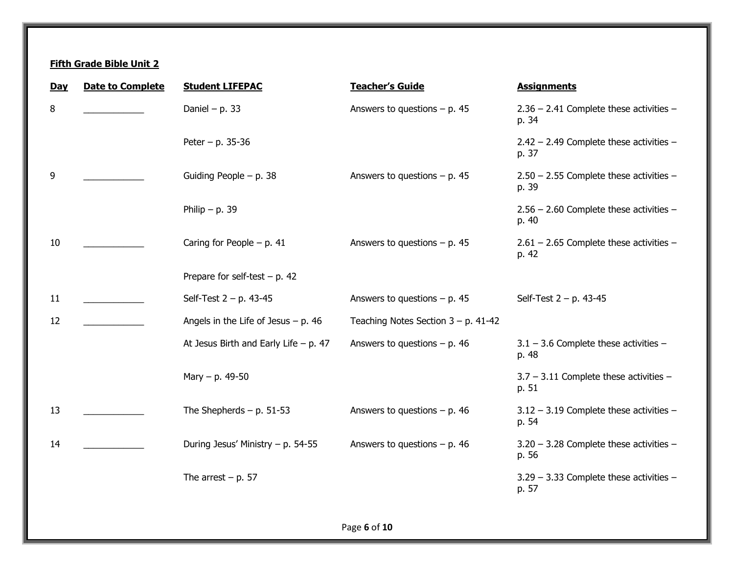| 8<br>Daniel - p. 33<br>Answers to questions $- p. 45$<br>$2.36 - 2.41$ Complete these activities -<br>p. 34<br>Peter – p. 35-36<br>$2.42 - 2.49$ Complete these activities -<br>p. 37<br>9<br>Guiding People $- p. 38$<br>Answers to questions $- p$ . 45<br>$2.50 - 2.55$ Complete these activities -<br>p. 39<br>Philip $- p. 39$<br>$2.56 - 2.60$ Complete these activities -<br>p. 40<br>10<br>Caring for People $- p. 41$<br>Answers to questions $- p. 45$<br>$2.61 - 2.65$ Complete these activities -<br>p. 42<br>Prepare for self-test $- p. 42$<br>11<br>Self-Test $2 - p$ . 43-45<br>Answers to questions $- p$ . 45<br>Self-Test $2 - p$ . 43-45<br>12<br>Angels in the Life of Jesus $- p$ . 46<br>Teaching Notes Section $3 - p$ . 41-42<br>At Jesus Birth and Early Life $- p$ . 47<br>Answers to questions $- p$ . 46<br>$3.1 - 3.6$ Complete these activities $-$<br>p. 48<br>$3.7 - 3.11$ Complete these activities -<br>Mary $- p. 49-50$<br>p. 51<br>13<br>The Shepherds $- p. 51-53$<br>Answers to questions $- p$ . 46<br>$3.12 - 3.19$ Complete these activities -<br>p. 54<br>During Jesus' Ministry - p. 54-55<br>Answers to questions $- p$ . 46<br>3.20 - 3.28 Complete these activities -<br>14<br>p. 56<br>The arrest $- p. 57$<br>$3.29 - 3.33$ Complete these activities -<br>p. 57 | <b>Day</b> | <b>Date to Complete</b> | <b>Student LIFEPAC</b> | <b>Teacher's Guide</b> | <b>Assignments</b> |
|--------------------------------------------------------------------------------------------------------------------------------------------------------------------------------------------------------------------------------------------------------------------------------------------------------------------------------------------------------------------------------------------------------------------------------------------------------------------------------------------------------------------------------------------------------------------------------------------------------------------------------------------------------------------------------------------------------------------------------------------------------------------------------------------------------------------------------------------------------------------------------------------------------------------------------------------------------------------------------------------------------------------------------------------------------------------------------------------------------------------------------------------------------------------------------------------------------------------------------------------------------------------------------------------------------------------|------------|-------------------------|------------------------|------------------------|--------------------|
|                                                                                                                                                                                                                                                                                                                                                                                                                                                                                                                                                                                                                                                                                                                                                                                                                                                                                                                                                                                                                                                                                                                                                                                                                                                                                                                    |            |                         |                        |                        |                    |
|                                                                                                                                                                                                                                                                                                                                                                                                                                                                                                                                                                                                                                                                                                                                                                                                                                                                                                                                                                                                                                                                                                                                                                                                                                                                                                                    |            |                         |                        |                        |                    |
|                                                                                                                                                                                                                                                                                                                                                                                                                                                                                                                                                                                                                                                                                                                                                                                                                                                                                                                                                                                                                                                                                                                                                                                                                                                                                                                    |            |                         |                        |                        |                    |
|                                                                                                                                                                                                                                                                                                                                                                                                                                                                                                                                                                                                                                                                                                                                                                                                                                                                                                                                                                                                                                                                                                                                                                                                                                                                                                                    |            |                         |                        |                        |                    |
|                                                                                                                                                                                                                                                                                                                                                                                                                                                                                                                                                                                                                                                                                                                                                                                                                                                                                                                                                                                                                                                                                                                                                                                                                                                                                                                    |            |                         |                        |                        |                    |
|                                                                                                                                                                                                                                                                                                                                                                                                                                                                                                                                                                                                                                                                                                                                                                                                                                                                                                                                                                                                                                                                                                                                                                                                                                                                                                                    |            |                         |                        |                        |                    |
|                                                                                                                                                                                                                                                                                                                                                                                                                                                                                                                                                                                                                                                                                                                                                                                                                                                                                                                                                                                                                                                                                                                                                                                                                                                                                                                    |            |                         |                        |                        |                    |
|                                                                                                                                                                                                                                                                                                                                                                                                                                                                                                                                                                                                                                                                                                                                                                                                                                                                                                                                                                                                                                                                                                                                                                                                                                                                                                                    |            |                         |                        |                        |                    |
|                                                                                                                                                                                                                                                                                                                                                                                                                                                                                                                                                                                                                                                                                                                                                                                                                                                                                                                                                                                                                                                                                                                                                                                                                                                                                                                    |            |                         |                        |                        |                    |
|                                                                                                                                                                                                                                                                                                                                                                                                                                                                                                                                                                                                                                                                                                                                                                                                                                                                                                                                                                                                                                                                                                                                                                                                                                                                                                                    |            |                         |                        |                        |                    |
|                                                                                                                                                                                                                                                                                                                                                                                                                                                                                                                                                                                                                                                                                                                                                                                                                                                                                                                                                                                                                                                                                                                                                                                                                                                                                                                    |            |                         |                        |                        |                    |
|                                                                                                                                                                                                                                                                                                                                                                                                                                                                                                                                                                                                                                                                                                                                                                                                                                                                                                                                                                                                                                                                                                                                                                                                                                                                                                                    |            |                         |                        |                        |                    |
|                                                                                                                                                                                                                                                                                                                                                                                                                                                                                                                                                                                                                                                                                                                                                                                                                                                                                                                                                                                                                                                                                                                                                                                                                                                                                                                    |            |                         |                        |                        |                    |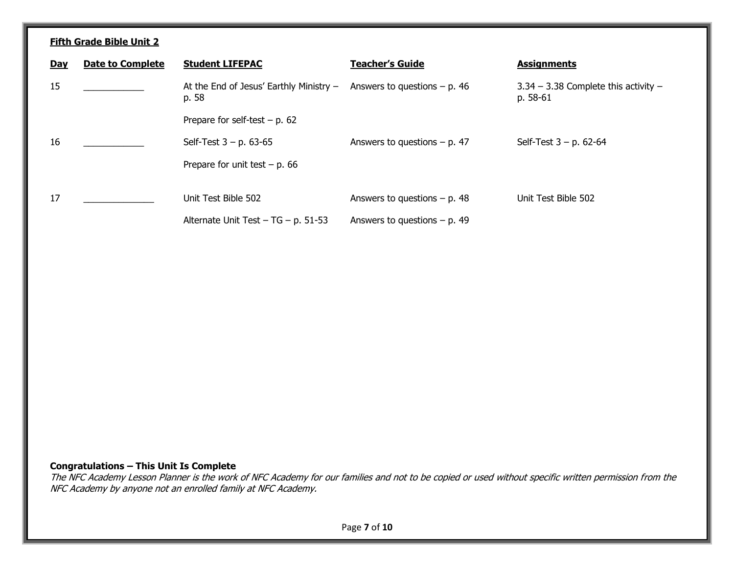| <b>Day</b> | <b>Date to Complete</b> | <b>Student LIFEPAC</b>                             | <b>Teacher's Guide</b>          | <b>Assignments</b>                                   |
|------------|-------------------------|----------------------------------------------------|---------------------------------|------------------------------------------------------|
| 15         |                         | At the End of Jesus' Earthly Ministry $-$<br>p. 58 | Answers to questions $- p$ . 46 | $3.34 - 3.38$ Complete this activity $-$<br>p. 58-61 |
|            |                         | Prepare for self-test $- p$ . 62                   |                                 |                                                      |
| 16         |                         | Self-Test $3 - p$ . 63-65                          | Answers to questions $- p$ . 47 | Self-Test $3 - p$ . 62-64                            |
|            |                         | Prepare for unit test $- p$ . 66                   |                                 |                                                      |
| 17         |                         | Unit Test Bible 502                                | Answers to questions $- p$ . 48 | Unit Test Bible 502                                  |
|            |                         | Alternate Unit Test $-$ TG $-$ p. 51-53            | Answers to questions $- p$ . 49 |                                                      |

### **Congratulations – This Unit Is Complete**

The NFC Academy Lesson Planner is the work of NFC Academy for our families and not to be copied or used without specific written permission from the NFC Academy by anyone not an enrolled family at NFC Academy.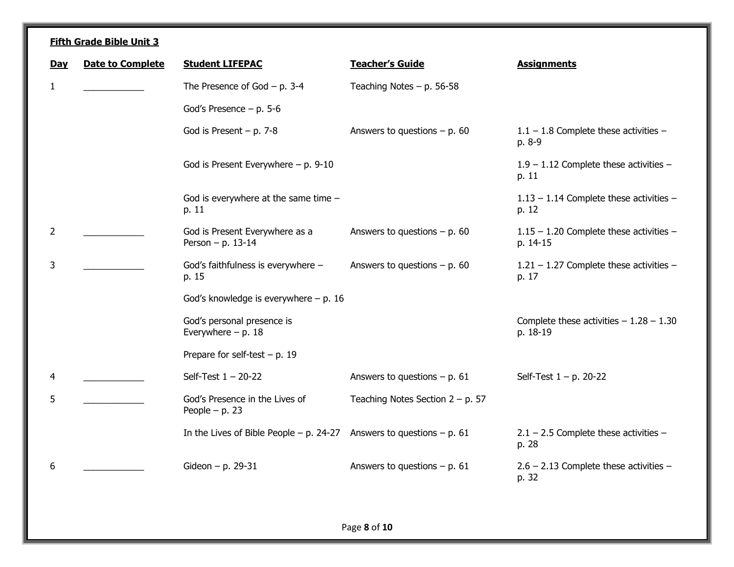| Day | <b>Date to Complete</b> | <b>Student LIFEPAC</b>                                               | <b>Teacher's Guide</b>              | <b>Assignments</b>                                    |
|-----|-------------------------|----------------------------------------------------------------------|-------------------------------------|-------------------------------------------------------|
| 1   |                         | The Presence of God $-$ p. 3-4                                       | Teaching Notes $- p. 56-58$         |                                                       |
|     |                         | God's Presence $- p. 5-6$                                            |                                     |                                                       |
|     |                         | God is Present $- p. 7-8$                                            | Answers to questions $- p$ . 60     | $1.1 - 1.8$ Complete these activities -<br>p. 8-9     |
|     |                         | God is Present Everywhere $- p. 9-10$                                |                                     | $1.9 - 1.12$ Complete these activities -<br>p. 11     |
|     |                         | God is everywhere at the same time -<br>p. 11                        |                                     | $1.13 - 1.14$ Complete these activities -<br>p. 12    |
| 2   |                         | God is Present Everywhere as a<br>Person - p. 13-14                  | Answers to questions $- p$ . 60     | $1.15 - 1.20$ Complete these activities -<br>p. 14-15 |
| 3   |                         | God's faithfulness is everywhere -<br>p. 15                          | Answers to questions $- p$ . 60     | $1.21 - 1.27$ Complete these activities -<br>p. 17    |
|     |                         | God's knowledge is everywhere $- p$ . 16                             |                                     |                                                       |
|     |                         | God's personal presence is<br>Everywhere $- p. 18$                   |                                     | Complete these activities $-1.28 - 1.30$<br>p. 18-19  |
|     |                         | Prepare for self-test $- p$ . 19                                     |                                     |                                                       |
| 4   |                         | Self-Test $1 - 20-22$                                                | Answers to questions $- p$ . 61     | Self-Test $1 - p$ . 20-22                             |
| 5   |                         | God's Presence in the Lives of<br>People $- p. 23$                   | Teaching Notes Section $2 - p$ . 57 |                                                       |
|     |                         | In the Lives of Bible People – p. 24-27 Answers to questions – p. 61 |                                     | $2.1 - 2.5$ Complete these activities -<br>p. 28      |
| 6   |                         | Gideon - p. $29-31$                                                  | Answers to questions $- p. 61$      | $2.6 - 2.13$ Complete these activities -<br>p. 32     |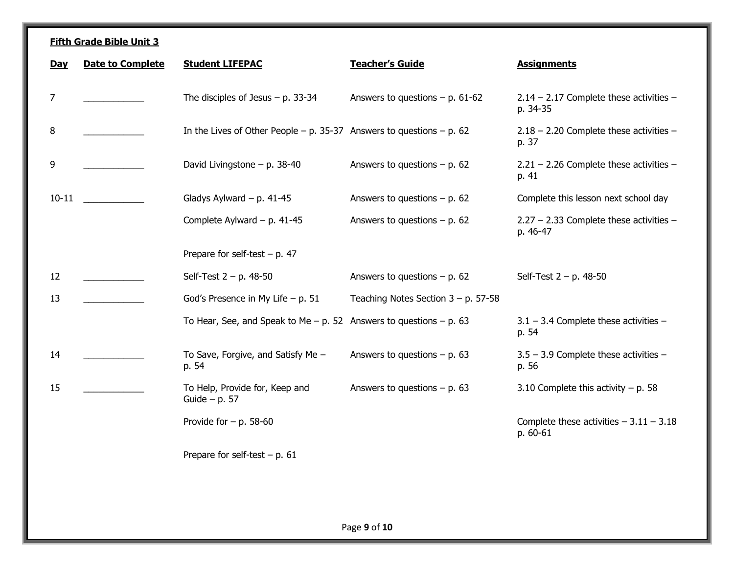| <b>Day</b>     | <b>Date to Complete</b> | <b>Student LIFEPAC</b>                                                     | <b>Teacher's Guide</b>                 | <b>Assignments</b>                                    |
|----------------|-------------------------|----------------------------------------------------------------------------|----------------------------------------|-------------------------------------------------------|
| $\overline{7}$ |                         | The disciples of Jesus $- p$ . 33-34                                       | Answers to questions $- p$ . 61-62     | $2.14 - 2.17$ Complete these activities -<br>p. 34-35 |
| 8              |                         | In the Lives of Other People $- p$ . 35-37 Answers to questions $- p$ . 62 |                                        | $2.18 - 2.20$ Complete these activities -<br>p. 37    |
| 9              |                         | David Livingstone $-$ p. 38-40                                             | Answers to questions $- p$ . 62        | $2.21 - 2.26$ Complete these activities -<br>p. 41    |
| $10 - 11$      |                         | Gladys Aylward $- p. 41-45$                                                | Answers to questions $- p$ . 62        | Complete this lesson next school day                  |
|                |                         | Complete Aylward - p. 41-45                                                | Answers to questions $- p$ . 62        | $2.27 - 2.33$ Complete these activities -<br>p. 46-47 |
|                |                         | Prepare for self-test $- p. 47$                                            |                                        |                                                       |
| 12             |                         | Self-Test $2 - p$ . 48-50                                                  | Answers to questions $- p$ . 62        | Self-Test $2 - p$ . 48-50                             |
| 13             |                         | God's Presence in My Life $- p. 51$                                        | Teaching Notes Section $3 - p$ . 57-58 |                                                       |
|                |                         | To Hear, See, and Speak to Me $-$ p. 52 Answers to questions $-$ p. 63     |                                        | $3.1 - 3.4$ Complete these activities $-$<br>p. 54    |
| 14             |                         | To Save, Forgive, and Satisfy Me -<br>p. 54                                | Answers to questions $- p. 63$         | $3.5 - 3.9$ Complete these activities -<br>p. 56      |
| 15             |                         | To Help, Provide for, Keep and<br>Guide $- p. 57$                          | Answers to questions $- p$ . 63        | 3.10 Complete this activity $- p$ . 58                |
|                |                         | Provide for $- p$ . 58-60                                                  |                                        | Complete these activities $-3.11 - 3.18$<br>p. 60-61  |
|                |                         | Prepare for self-test $- p$ . 61                                           |                                        |                                                       |